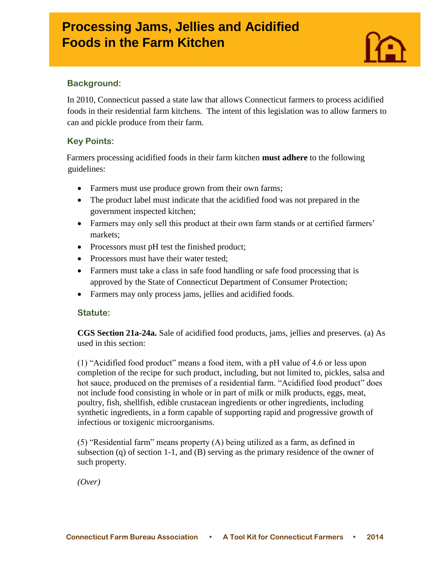# **Processing Jams, Jellies and Acidified**  $\sim$ **Foods in the Farm Kitchen**



## **Background:**

In 2010, Connecticut passed a state law that allows Connecticut farmers to process acidified foods in their residential farm kitchens. The intent of [this legislation](.%20http:/www.cga.ct.gov/current/pub/chap_417.htm#sec_21a-24a) was to allow farmers to can and pickle produce from their farm.

### **Key Points:**

Farmers processing acidified foods in their farm kitchen **must adhere** to the following guidelines:

- Farmers must use produce grown from their own farms;
- The product label must indicate that the acidified food was not prepared in the government inspected kitchen;
- Farmers may only sell this product at their own farm stands or at certified farmers' markets;
- Processors must pH test the finished product;
- Processors must have their water tested:
- Farmers must take a class in safe food handling or safe food processing that is approved by the State of Connecticut Department of Consumer Protection;
- Farmers may only process jams, jellies and acidified foods.

#### **Statute:**

**CGS Section 21a-24a.** Sale of acidified food products, jams, jellies and preserves. (a) As used in this section:

(1) "Acidified food product" means a food item, with a pH value of 4.6 or less upon completion of the recipe for such product, including, but not limited to, pickles, salsa and hot sauce, produced on the premises of a residential farm. "Acidified food product" does not include food consisting in whole or in part of milk or milk products, eggs, meat, poultry, fish, shellfish, edible crustacean ingredients or other ingredients, including synthetic ingredients, in a form capable of supporting rapid and progressive growth of infectious or toxigenic microorganisms.

(5) "Residential farm" means property (A) being utilized as a farm, as defined in subsection (q) of section 1-1, and (B) serving as the primary residence of the owner of such property.

*(Over)*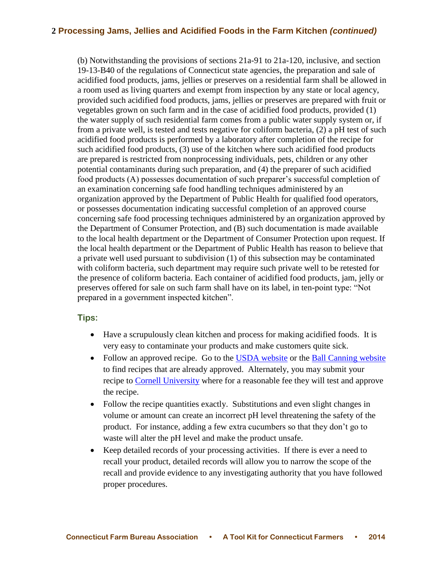#### **2 Processing Jams, Jellies and Acidified Foods in the Farm Kitchen** *(continued)*

(b) Notwithstanding the provisions of sections 21a-91 to 21a-120, inclusive, and section 19-13-B40 of the regulations of Connecticut state agencies, the preparation and sale of acidified food products, jams, jellies or preserves on a residential farm shall be allowed in a room used as living quarters and exempt from inspection by any state or local agency, provided such acidified food products, jams, jellies or preserves are prepared with fruit or vegetables grown on such farm and in the case of acidified food products, provided (1) the water supply of such residential farm comes from a public water supply system or, if from a private well, is tested and tests negative for coliform bacteria, (2) a pH test of such acidified food products is performed by a laboratory after completion of the recipe for such acidified food products, (3) use of the kitchen where such acidified food products are prepared is restricted from nonprocessing individuals, pets, children or any other potential contaminants during such preparation, and (4) the preparer of such acidified food products (A) possesses documentation of such preparer's successful completion of an examination concerning safe food handling techniques administered by an organization approved by the Department of Public Health for qualified food operators, or possesses documentation indicating successful completion of an approved course concerning safe food processing techniques administered by an organization approved by the Department of Consumer Protection, and (B) such documentation is made available to the local health department or the Department of Consumer Protection upon request. If the local health department or the Department of Public Health has reason to believe that a private well used pursuant to subdivision (1) of this subsection may be contaminated with coliform bacteria, such department may require such private well to be retested for the presence of coliform bacteria. Each container of acidified food products, jam, jelly or preserves offered for sale on such farm shall have on its label, in ten-point type: "Not prepared in a government inspected kitchen".

#### **Tips:**

- Have a scrupulously clean kitchen and process for making acidified foods. It is very easy to contaminate your products and make customers quite sick.
- Follow an approved recipe. Go to the [USDA website](http://nchfp.uga.edu/publications/publications_usda.html) or the Ball Canning website to find recipes that are already approved. Alternately, you may submit your recipe to [Cornell University](http://necfe.foodscience.cals.cornell.edu/about) where for a reasonable fee they will test and approve the recipe.
- Follow the recipe quantities exactly. Substitutions and even slight changes in volume or amount can create an incorrect pH level threatening the safety of the product. For instance, adding a few extra cucumbers so that they don't go to waste will alter the pH level and make the product unsafe.
- Keep detailed records of your processing activities. If there is ever a need to recall your product, detailed records will allow you to narrow the scope of the recall and provide evidence to any investigating authority that you have followed proper procedures.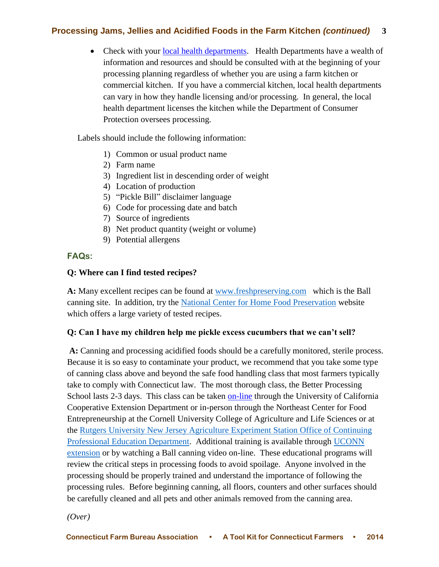# **Processing Jams, Jellies and Acidified Foods in the Farm Kitchen** *(continued)* **3**

• Check with your [local health departments.](http://www.ct.gov/dph/cwp/view.asp?a=3123&q=397740) Health Departments have a wealth of information and resources and should be consulted with at the beginning of your processing planning regardless of whether you are using a farm kitchen or commercial kitchen. If you have a commercial kitchen, local health departments can vary in how they handle licensing and/or processing. In general, the local health department licenses the kitchen while the Department of Consumer Protection oversees processing.

Labels should include the following information:

- 1) Common or usual product name
- 2) Farm name
- 3) Ingredient list in descending order of weight
- 4) Location of production
- 5) "Pickle Bill" disclaimer language
- 6) Code for processing date and batch
- 7) Source of ingredients
- 8) Net product quantity (weight or volume)
- 9) Potential allergens

# **FAQs:**

### **Q: Where can I find tested recipes?**

**A:** Many excellent recipes can be found at [www.freshpreserving.com](http://www.freshpreserving.com/) which is the Ball canning site. In addition, try the [National Center for Home Food Preservation](http://nchfp.uga.edu/) website which offers a large variety of tested recipes.

# **Q: Can I have my children help me pickle excess cucumbers that we can't sell?**

**A:** Canning and processing acidified foods should be a carefully monitored, sterile process. Because it is so easy to contaminate your product, we recommend that you take some type of canning class above and beyond the safe food handling class that most farmers typically take to comply with Connecticut law. The most thorough class, the Better Processing School lasts 2-3 days. This class can be taken [on-line](http://www.fruitandvegetable.ucdavis.edu/Cooperative_Extension_Short_Courses/Better_Process_Control_School_Online/) through the University of California Cooperative Extension Department or in-person through the Northeast Center for Food Entrepreneurship at the Cornell University College of Agriculture and Life Sciences or at the [Rutgers University New Jersey Agriculture Experiment Station Office of Continuing](http://njaes.rutgers.edu/health/)  [Professional Education Department.](http://njaes.rutgers.edu/health/) Additional training is available through [UCONN](http://www.foodsafety.uconn.edu/)  [extension](http://www.foodsafety.uconn.edu/) or by watching a Ball canning video on-line. These educational programs will review the critical steps in processing foods to avoid spoilage. Anyone involved in the processing should be properly trained and understand the importance of following the processing rules. Before beginning canning, all floors, counters and other surfaces should be carefully cleaned and all pets and other animals removed from the canning area.

*(Over)*